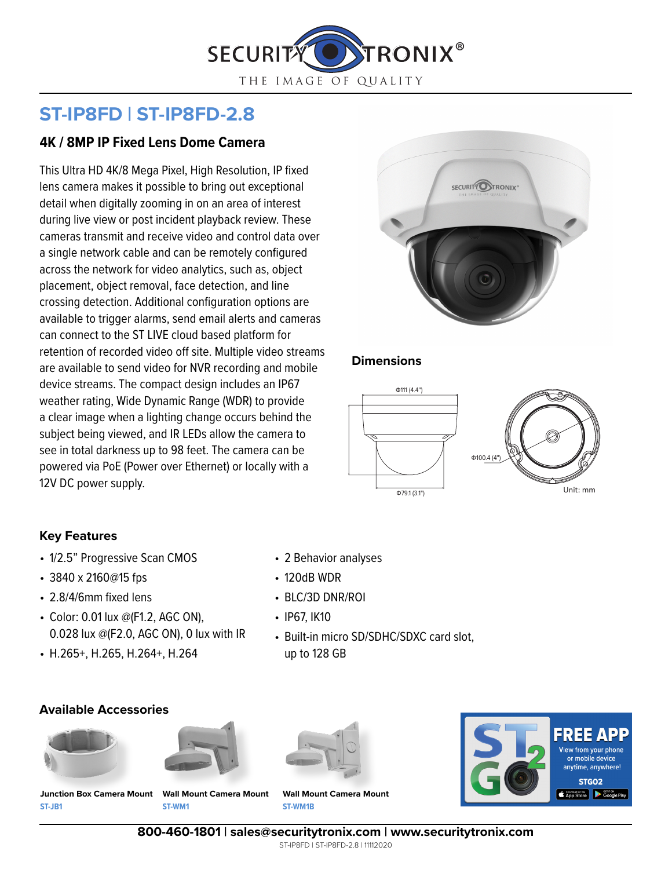

# **ST-IP8FD | ST-IP8FD-2.8**

## **4K / 8MP IP Fixed Lens Dome Camera**

This Ultra HD 4K/8 Mega Pixel, High Resolution, IP fixed lens camera makes it possible to bring out exceptional detail when digitally zooming in on an area of interest during live view or post incident playback review. These cameras transmit and receive video and control data over a single network cable and can be remotely configured across the network for video analytics, such as, object placement, object removal, face detection, and line crossing detection. Additional configuration options are available to trigger alarms, send email alerts and cameras can connect to the ST LIVE cloud based platform for retention of recorded video off site. Multiple video streams are available to send video for NVR recording and mobile device streams. The compact design includes an IP67 weather rating, Wide Dynamic Range (WDR) to provide a clear image when a lighting change occurs behind the subject being viewed, and IR LEDs allow the camera to see in total darkness up to 98 feet. The camera can be powered via PoE (Power over Ethernet) or locally with a 12V DC power supply.



#### **Dimensions**



#### **Key Features**

- 1/2.5" Progressive Scan CMOS
- 3840 x 2160@15 fps
- 2.8/4/6mm fixed lens
- Color: 0.01 lux @(F1.2, AGC ON), 0.028 lux @(F2.0, AGC ON), 0 lux with IR
- H.265+, H.265, H.264+, H.264

#### **Available Accessories**







• 2 Behavior analyses

• Built-in micro SD/SDHC/SDXC card slot,

• 120dB WDR

• IP67, IK10

• BLC/3D DNR/ROI

up to 128 GB



**ST-JB1 Junction Box Camera Mount Wall Mount Camera Mount**

**ST-WM1**

**ST-WM1B Wall Mount Camera Mount**

**800-460-1801 | sales@securitytronix.com | www.securitytronix.com**

ST-IP8FD | ST-IP8FD-2.8 | 11112020